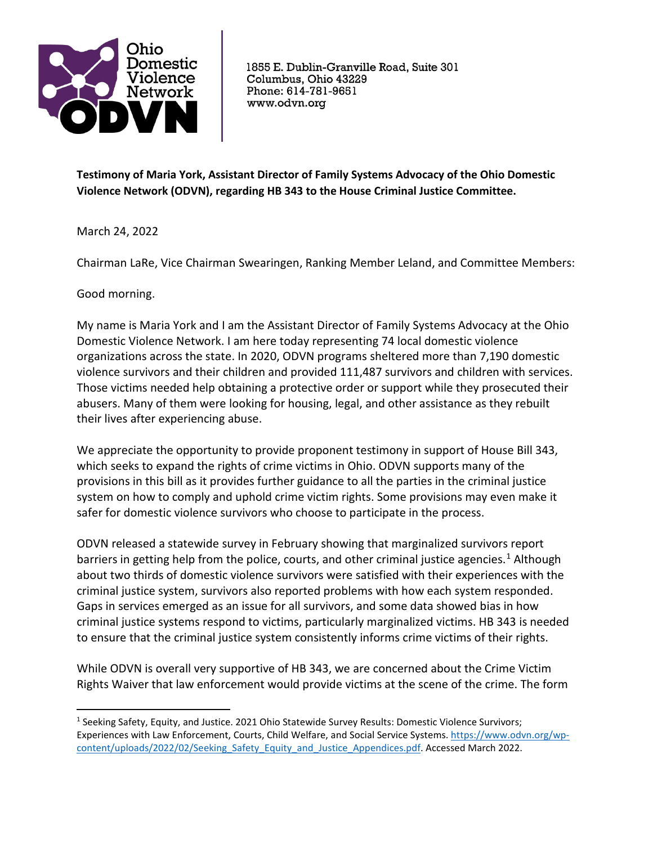

1855 E. Dublin-Granville Road, Suite 301 Columbus, Ohio 43229 Phone: 614-781-9651 www.odvn.org

**Testimony of Maria York, Assistant Director of Family Systems Advocacy of the Ohio Domestic Violence Network (ODVN), regarding HB 343 to the House Criminal Justice Committee.** 

March 24, 2022

Chairman LaRe, Vice Chairman Swearingen, Ranking Member Leland, and Committee Members:

Good morning.

My name is Maria York and I am the Assistant Director of Family Systems Advocacy at the Ohio Domestic Violence Network. I am here today representing 74 local domestic violence organizations across the state. In 2020, ODVN programs sheltered more than 7,190 domestic violence survivors and their children and provided 111,487 survivors and children with services. Those victims needed help obtaining a protective order or support while they prosecuted their abusers. Many of them were looking for housing, legal, and other assistance as they rebuilt their lives after experiencing abuse.

We appreciate the opportunity to provide proponent testimony in support of House Bill 343, which seeks to expand the rights of crime victims in Ohio. ODVN supports many of the provisions in this bill as it provides further guidance to all the parties in the criminal justice system on how to comply and uphold crime victim rights. Some provisions may even make it safer for domestic violence survivors who choose to participate in the process.

ODVN released a statewide survey in February showing that marginalized survivors report barriers in getting help from the police, courts, and other criminal justice agencies.<sup>[1](#page-0-0)</sup> Although about two thirds of domestic violence survivors were satisfied with their experiences with the criminal justice system, survivors also reported problems with how each system responded. Gaps in services emerged as an issue for all survivors, and some data showed bias in how criminal justice systems respond to victims, particularly marginalized victims. HB 343 is needed to ensure that the criminal justice system consistently informs crime victims of their rights.

While ODVN is overall very supportive of HB 343, we are concerned about the Crime Victim Rights Waiver that law enforcement would provide victims at the scene of the crime. The form

<span id="page-0-0"></span><sup>&</sup>lt;sup>1</sup> Seeking Safety, Equity, and Justice. 2021 Ohio Statewide Survey Results: Domestic Violence Survivors; Experiences with Law Enforcement, Courts, Child Welfare, and Social Service Systems. [https://www.odvn.org/wp](https://www.odvn.org/wp-content/uploads/2022/02/Seeking_Safety_Equity_and_Justice_Appendices.pdf)[content/uploads/2022/02/Seeking\\_Safety\\_Equity\\_and\\_Justice\\_Appendices.pdf.](https://www.odvn.org/wp-content/uploads/2022/02/Seeking_Safety_Equity_and_Justice_Appendices.pdf) Accessed March 2022.